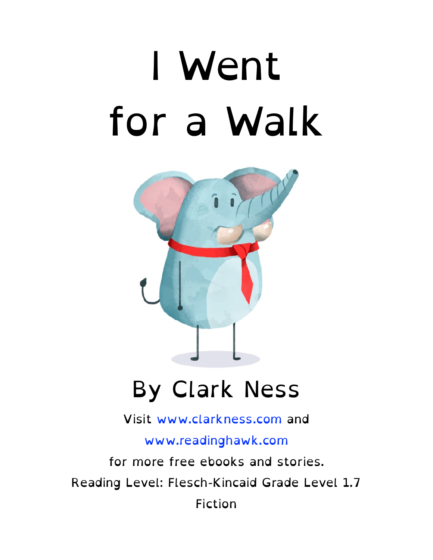# I Went for a Walk



#### By Clark Ness

Visit [www.clarkness.com](http://www.clarkness.com) and

[www.readinghawk.com](http://www.readinghawk.com)

for more free ebooks and stories. Reading Level: Flesch-Kincaid Grade Level 1.7 Fiction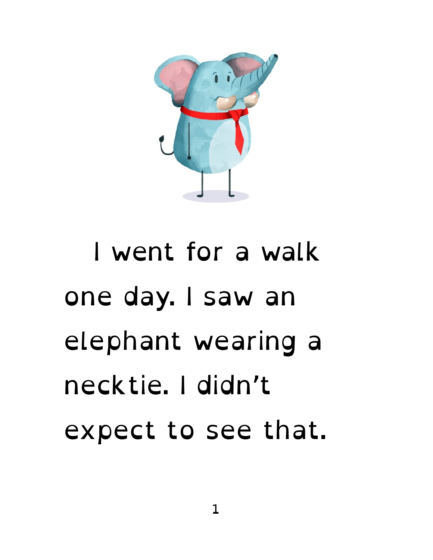

#### I went for a walk one day. I saw an elephant wearing a necktie. I didn't expect to see that.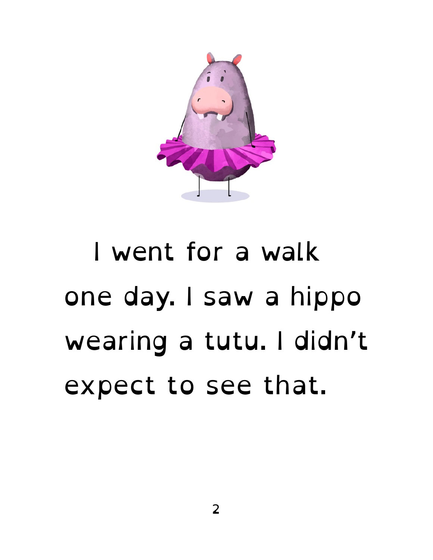

#### I went for a walk one day. I saw a hippo wearing a tutu. I didn't expect to see that.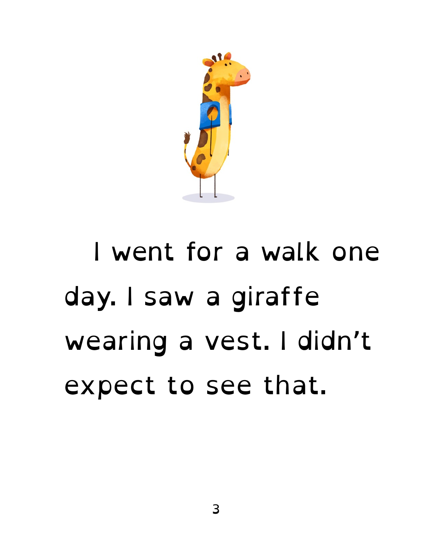

### I went for a walk one day. I saw a giraffe wearing a vest. I didn't expect to see that.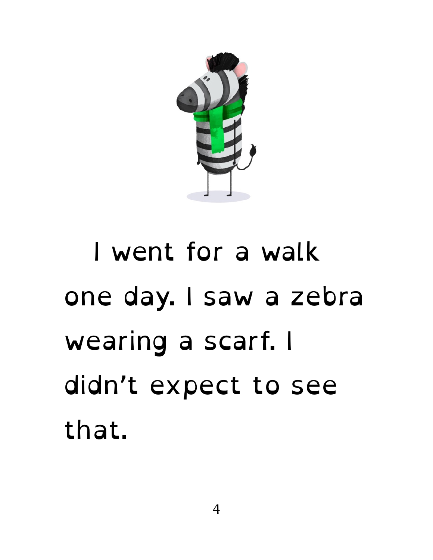

### I went for a walk one day. I saw a zebra wearing a scarf. I didn't expect to see that.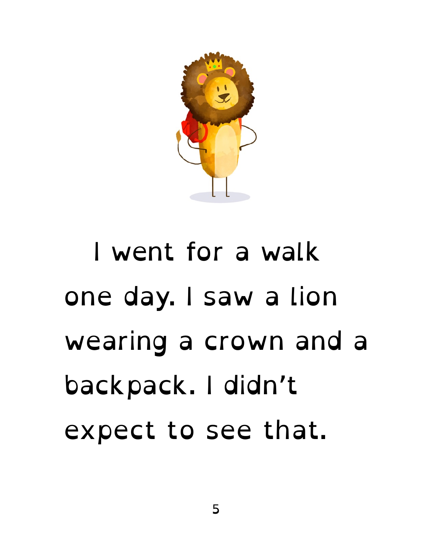

### I went for a walk one day. I saw a lion wearing a crown and a backpack. I didn't expect to see that.